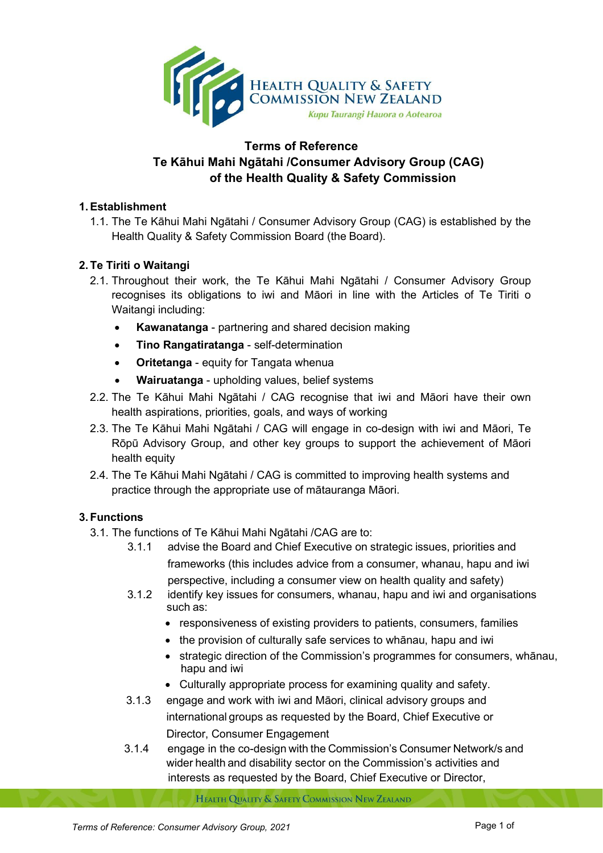

# **Terms of Reference Te Kāhui Mahi Ngātahi /Consumer Advisory Group (CAG) of the Health Quality & Safety Commission**

#### **1.Establishment**

1.1. The Te Kāhui Mahi Ngātahi / Consumer Advisory Group (CAG) is established by the Health Quality & Safety Commission Board (the Board).

### **2. Te Tiriti o Waitangi**

- 2.1. Throughout their work, the Te Kāhui Mahi Ngātahi / Consumer Advisory Group recognises its obligations to iwi and Māori in line with the Articles of Te Tiriti o Waitangi including:
	- **Kawanatanga** partnering and shared decision making
	- **Tino Rangatiratanga** self-determination
	- **Oritetanga** equity for Tangata whenua
	- **Wairuatanga** upholding values, belief systems
- 2.2. The Te Kāhui Mahi Ngātahi / CAG recognise that iwi and Māori have their own health aspirations, priorities, goals, and ways of working
- 2.3. The Te Kāhui Mahi Ngātahi / CAG will engage in co-design with iwi and Māori, Te Rōpū Advisory Group, and other key groups to support the achievement of Māori health equity
- 2.4. The Te Kāhui Mahi Ngātahi / CAG is committed to improving health systems and practice through the appropriate use of mātauranga Māori.

### **3. Functions**

- 3.1. The functions of Te Kāhui Mahi Ngātahi /CAG are to:
	- 3.1.1 advise the Board and Chief Executive on strategic issues, priorities and frameworks (this includes advice from a consumer, whanau, hapu and iwi perspective, including a consumer view on health quality and safety)
	- 3.1.2 identify key issues for consumers, whanau, hapu and iwi and organisations such as:
		- responsiveness of existing providers to patients, consumers, families
		- the provision of culturally safe services to whānau, hapu and iwi
		- strategic direction of the Commission's programmes for consumers, whānau, hapu and iwi
		- Culturally appropriate process for examining quality and safety.
	- 3.1.3 engage and work with iwi and Māori, clinical advisory groups and international groups as requested by the Board, Chief Executive or Director, Consumer Engagement
	- 3.1.4 engage in the co-design with the Commission's Consumer Network/s and wider health and disability sector on the Commission's activities and interests as requested by the Board, Chief Executive or Director,

HEALTH QUALITY & SAFETY COMMISSION NEW ZEALAND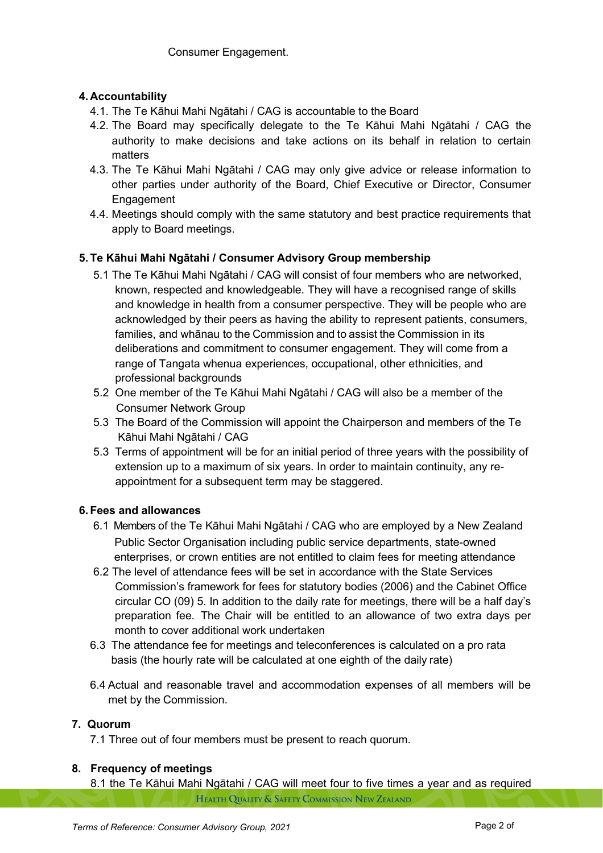# **4. Accountability**

- 4.1. The Te Kāhui Mahi Ngātahi / CAG is accountable to the Board
- 4.2. The Board may specifically delegate to the Te Kāhui Mahi Ngātahi / CAG the authority to make decisions and take actions on its behalf in relation to certain matters
- 4.3. The Te Kāhui Mahi Ngātahi / CAG may only give advice or release information to other parties under authority of the Board, Chief Executive or Director, Consumer Engagement
- 4.4. Meetings should comply with the same statutory and best practice requirements that apply to Board meetings.

# **5. Te Kāhui Mahi Ngātahi / Consumer Advisory Group membership**

- 5.1 The Te Kāhui Mahi Ngātahi / CAG will consist of four members who are networked, known, respected and knowledgeable. They will have a recognised range of skills and knowledge in health from a consumer perspective. They will be people who are acknowledged by their peers as having the ability to represent patients, consumers, families, and whānau to the Commission and to assist the Commission in its deliberations and commitment to consumer engagement. They will come from a range of Tangata whenua experiences, occupational, other ethnicities, and professional backgrounds
- 5.2 One member of the Te Kāhui Mahi Ngātahi / CAG will also be a member of the Consumer Network Group
- 5.3 The Board of the Commission will appoint the Chairperson and members of the Te Kāhui Mahi Ngātahi / CAG
- 5.3 Terms of appointment will be for an initial period of three years with the possibility of extension up to a maximum of six years. In order to maintain continuity, any re appointment for a subsequent term may be staggered.

### **6. Fees and allowances**

- 6.1 Members of the Te Kāhui Mahi Ngātahi / CAG who are employed by a New Zealand Public Sector Organisation including public service departments, state-owned enterprises, or crown entities are not entitled to claim fees for meeting attendance
- 6.2 The level of attendance fees will be set in accordance with the State Services Commission's framework for fees for statutory bodies (2006) and the Cabinet Office circular CO (09) 5. In addition to the daily rate for meetings, there will be a half day's preparation fee. The Chair will be entitled to an allowance of two extra days per month to cover additional work undertaken
- 6.3 The attendance fee for meetings and teleconferences is calculated on a pro rata basis (the hourly rate will be calculated at one eighth of the daily rate)
- 6.4 Actual and reasonable travel and accommodation expenses of all members will be met by the Commission.

### **7. Quorum**

7.1 Three out of four members must be present to reach quorum.

#### **8. Frequency of meetings**

8.1 the Te Kāhui Mahi Ngātahi / CAG will meet four to five times a year and as required HEALTH QUALITY & SAFETY COMMISSION NEW ZEALAND